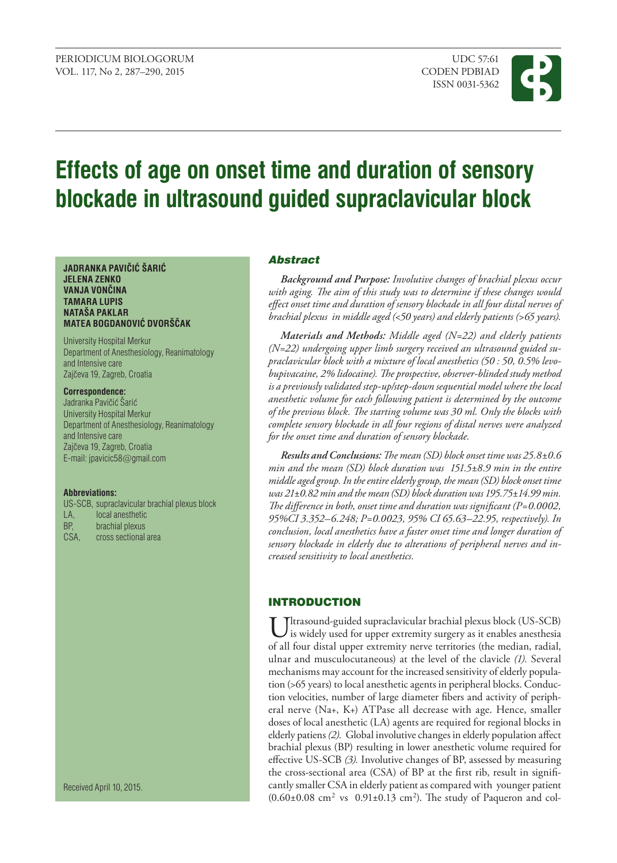

# **Effects of age on onset time and duration of sensory blockade in ultrasound guided supraclavicular block**

#### **JADRANKA PAVIČIĆ ŠARIĆ JELENA ZENKO VANJA VONČINA TAMARA LUPIS NATAŠA PAKLAR MATEA BOGDANOVIĆ DVORŠČAK**

University Hospital Merkur Department of Anesthesiology, Reanimatology and Intensive care Zajčeva 19, Zagreb, Croatia

## **Correspondence:**

Jadranka Pavičić Šarić University Hospital Merkur Department of Anesthesiology, Reanimatology and Intensive care Zajčeva 19, Zagreb, Croatia E-mail: jpavicic58@gmail.com

#### **Abbreviations:**

US-SCB, supraclavicular brachial plexus block LA, local anesthetic BP, brachial plexus CSA, cross sectional area

Received April 10, 2015.

## Abstract

*Background and purpose: Involutive changes of brachial plexus occur with aging. The aim of this study was to determine if these changes would effect onset time and duration of sensory blockade in all four distal nerves of brachial plexus in middle aged (<50 years) and elderly patients (>65 years).*

*Materials and methods: Middle aged (N=22) and elderly patients (N=22) undergoing upper limb surgery received an ultrasound guided supraclavicular block with a mixture of local anesthetics (50 : 50, 0.5% levobupivacaine, 2% lidocaine). The prospective, observer-blinded study method is a previously validated step-up/step-down sequential model where the local anesthetic volume for each following patient is determined by the outcome of the previous block. The starting volume was 30 ml. Only the blocks with complete sensory blockade in all four regions of distal nerves were analyzed for the onset time and duration of sensory blockade.*

*Results and conclusions: The mean (SD) block onset time was 25.8±0.6 min and the mean (SD) block duration was 151.5±8.9 min in the entire middle aged group. In the entire elderly group, the mean (SD) block onset time was 21±0.82 min and the mean (SD) block duration was 195.75±14.99 min. The difference in both, onset time and duration was significant (P=0.0002, 95%CI 3.352–6.248; P=0.0023, 95% CI 65.63–22.95, respectively). In conclusion, local anesthetics have a faster onset time and longer duration of sensory blockade in elderly due to alterations of peripheral nerves and increased sensitivity to local anesthetics.*

# **INTRODUCTION**

 $\mathsf{T}$ ltrasound-guided supraclavicular brachial plexus block (US-SCB) is widely used for upper extremity surgery as it enables anesthesia of all four distal upper extremity nerve territories (the median, radial, ulnar and musculocutaneous) at the level of the clavicle *(1).* Several mechanisms may account for the increased sensitivity of elderly population (>65 years) to local anesthetic agents in peripheral blocks. Conduction velocities, number of large diameter fibers and activity of peripheral nerve (Na+, K+) ATPase all decrease with age. Hence, smaller doses of local anesthetic (LA) agents are required for regional blocks in elderly patiens *(2).* Global involutive changes in elderly population affect brachial plexus (BP) resulting in lower anesthetic volume required for effective US-SCB *(3).* Involutive changes of BP, assessed by measuring the cross-sectional area (CSA) of BP at the first rib, result in significantly smaller CSA in elderly patient as compared with younger patient  $(0.60\pm0.08$  cm<sup>2</sup> vs  $0.91\pm0.13$  cm<sup>2</sup>). The study of Paqueron and col-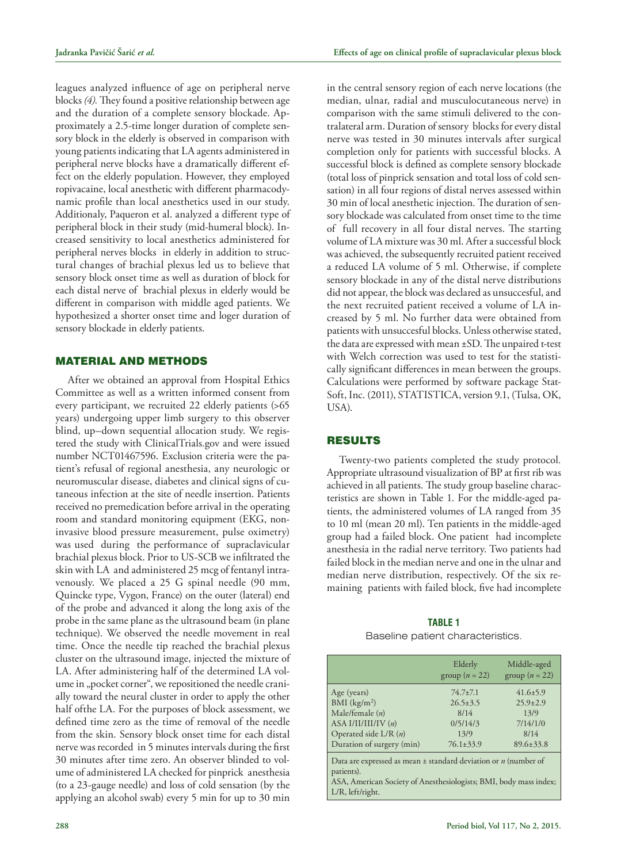leagues analyzed influence of age on peripheral nerve blocks *(4).* They found a positive relationship between age and the duration of a complete sensory blockade. Approximately a 2.5-time longer duration of complete sensory block in the elderly is observed in comparison with young patients indicating that LA agents administered in peripheral nerve blocks have a dramatically different effect on the elderly population. However, they employed ropivacaine, local anesthetic with different pharmacodynamic profile than local anesthetics used in our study. Additionaly, Paqueron et al. analyzed a different type of peripheral block in their study (mid-humeral block). Increased sensitivity to local anesthetics administered for peripheral nerves blocks in elderly in addition to structural changes of brachial plexus led us to believe that sensory block onset time as well as duration of block for each distal nerve of brachial plexus in elderly would be different in comparison with middle aged patients. We hypothesized a shorter onset time and loger duration of sensory blockade in elderly patients.

# Material and Methods

After we obtained an approval from Hospital Ethics Committee as well as a written informed consent from every participant, we recruited 22 elderly patients (>65 years) undergoing upper limb surgery to this observer blind, up–down sequential allocation study. We registered the study with ClinicalTrials.gov and were issued number NCT01467596. Exclusion criteria were the patient's refusal of regional anesthesia, any neurologic or neuromuscular disease, diabetes and clinical signs of cutaneous infection at the site of needle insertion. Patients received no premedication before arrival in the operating room and standard monitoring equipment (EKG, noninvasive blood pressure measurement, pulse oximetry) was used during the performance of supraclavicular brachial plexus block. Prior to US-SCB we infiltrated the skin with LA and administered 25 mcg of fentanyl intravenously. We placed a 25 G spinal needle (90 mm, Quincke type, Vygon, France) on the outer (lateral) end of the probe and advanced it along the long axis of the probe in the same plane as the ultrasound beam (in plane technique). We observed the needle movement in real time. Once the needle tip reached the brachial plexus cluster on the ultrasound image, injected the mixture of LA. After administering half of the determined LA volume in "pocket corner", we repositioned the needle cranially toward the neural cluster in order to apply the other half ofthe LA. For the purposes of block assessment, we defined time zero as the time of removal of the needle from the skin. Sensory block onset time for each distal nerve was recorded in 5 minutes intervals during the first 30 minutes after time zero. An observer blinded to volume of administered LA checked for pinprick anesthesia (to a 23-gauge needle) and loss of cold sensation (by the applying an alcohol swab) every 5 min for up to 30 min

in the central sensory region of each nerve locations (the median, ulnar, radial and musculocutaneous nerve) in comparison with the same stimuli delivered to the contralateral arm. Duration of sensory blocks for every distal nerve was tested in 30 minutes intervals after surgical completion only for patients with successful blocks. A successful block is defined as complete sensory blockade (total loss of pinprick sensation and total loss of cold sensation) in all four regions of distal nerves assessed within 30 min of local anesthetic injection. The duration of sensory blockade was calculated from onset time to the time of full recovery in all four distal nerves. The starting volume of LA mixture was 30 ml. After a successful block was achieved, the subsequently recruited patient received a reduced LA volume of 5 ml. Otherwise, if complete sensory blockade in any of the distal nerve distributions did not appear, the block was declared as unsuccesful, and the next recruited patient received a volume of LA increased by 5 ml. No further data were obtained from patients with unsuccesful blocks. Unless otherwise stated, the data are expressed with mean ±SD. The unpaired t-test with Welch correction was used to test for the statistically significant differences in mean between the groups. Calculations were performed by software package Stat-Soft, Inc. (2011), STATISTICA, version 9.1, (Tulsa, OK, USA).

## **RESULTS**

Twenty-two patients completed the study protocol*.* Appropriate ultrasound visualization of BP at first rib was achieved in all patients. The study group baseline characteristics are shown in Table 1. For the middle-aged patients, the administered volumes of LA ranged from 35 to 10 ml (mean 20 ml). Ten patients in the middle-aged group had a failed block. One patient had incomplete anesthesia in the radial nerve territory. Two patients had failed block in the median nerve and one in the ulnar and median nerve distribution, respectively. Of the six remaining patients with failed block, five had incomplete

#### **TABLE 1**

|                                                                                                                                                                            | Elderly<br>group $(n = 22)$ | Middle-aged<br>group $(n = 22)$ |  |  |  |  |  |
|----------------------------------------------------------------------------------------------------------------------------------------------------------------------------|-----------------------------|---------------------------------|--|--|--|--|--|
| Age (years)                                                                                                                                                                | $74.7 \pm 7.1$              | $41.6 \pm 5.9$                  |  |  |  |  |  |
| BMI $(kg/m2)$                                                                                                                                                              | $26.5 \pm 3.5$              | $25.9 \pm 2.9$                  |  |  |  |  |  |
| Male/female $(n)$                                                                                                                                                          | 8/14                        | 13/9                            |  |  |  |  |  |
| ASA I/II/III/IV $(n)$                                                                                                                                                      | 0/5/14/3                    | 7/14/1/0                        |  |  |  |  |  |
| Operated side $L/R(n)$                                                                                                                                                     | 13/9                        | 8/14                            |  |  |  |  |  |
| Duration of surgery (min)                                                                                                                                                  | $76.1 \pm 33.9$             | $89.6 \pm 33.8$                 |  |  |  |  |  |
| Data are expressed as mean $\pm$ standard deviation or n (number of<br>patients).<br>ASA, American Society of Anesthesiologists; BMI, body mass index;<br>L/R, left/right. |                             |                                 |  |  |  |  |  |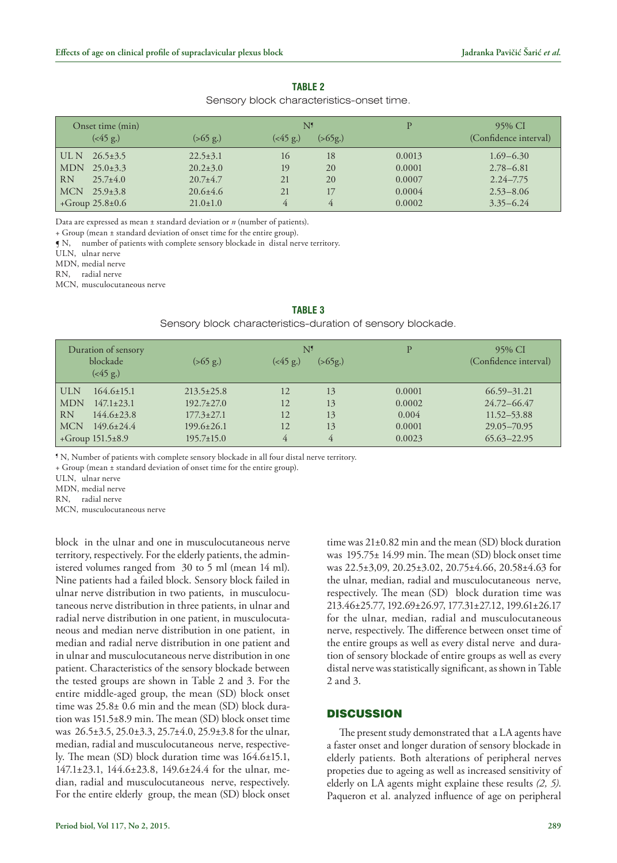## **Table 2**

#### Sensory block characteristics-onset time.

| Onset time (min)<br>$(<\!\!45 \text{ g.})$ | $(>65 \text{ g.})$ | N۶<br>$(<\!\!45 \text{ g.})$ | ( > 65g) | P      | 95% CI<br>(Confidence interval) |
|--------------------------------------------|--------------------|------------------------------|----------|--------|---------------------------------|
| $26.5 \pm 3.5$<br>  UL N                   | $22.5 \pm 3.1$     | 16                           | 18       | 0.0013 | $1.69 - 6.30$                   |
| $25.0 \pm 3.3$<br>MDN                      | $20.2 \pm 3.0$     | 19                           | 20       | 0.0001 | $2.78 - 6.81$                   |
| <b>RN</b><br>$25.7 \pm 4.0$                | $20.7 + 4.7$       | 21                           | 20       | 0.0007 | $2.24 - 7.75$                   |
| <b>MCN</b><br>$25.9 \pm 3.8$               | $20.6 \pm 4.6$     | 21                           |          | 0.0004 | $2.53 - 8.06$                   |
| +Group $25.8 \pm 0.6$                      | $21.0 \pm 1.0$     | 4                            | 4        | 0.0002 | $3.35 - 6.24$                   |

Data are expressed as mean ± standard deviation or *n* (number of patients).

+ Group (mean ± standard deviation of onset time for the entire group).

¶ N, number of patients with complete sensory blockade in distal nerve territory.

ULN, ulnar nerve

MDN, medial nerve

RN, radial nerve

MCN, musculocutaneous nerve

|                           | Duration of sensory<br>blockade<br>$(*45 g.)$ | $(>65 \text{ g.})$ | $(<\!\!45 \text{ g.})$ | N <sup>1</sup><br>( > 65g.) | $\mathbf{D}$ | 95% CI<br>(Confidence interval) |
|---------------------------|-----------------------------------------------|--------------------|------------------------|-----------------------------|--------------|---------------------------------|
| <b>ULN</b>                | $164.6 \pm 15.1$                              | $213.5 \pm 25.8$   | 12                     | 13                          | 0.0001       | $66.59 - 31.21$                 |
| <b>MDN</b>                | $147.1 \pm 23.1$                              | $192.7 \pm 27.0$   | 12                     | 13                          | 0.0002       | 24.72-66.47                     |
| <b>RN</b>                 | $144.6 \pm 23.8$                              | $177.3 \pm 27.1$   | 12                     | 13                          | 0.004        | 11.52–53.88                     |
| <b>MCN</b>                | $149.6 \pm 24.4$                              | $199.6 \pm 26.1$   | 12                     | 13                          | 0.0001       | 29.05-70.95                     |
| $+$ Group 151.5 $\pm$ 8.9 |                                               | $195.7\pm 15.0$    | 4                      | 4                           | 0.0023       | $65.63 - 22.95$                 |

#### **Table 3**

Sensory block characteristics-duration of sensory blockade.

¶ N, Number of patients with complete sensory blockade in all four distal nerve territory.

+ Group (mean ± standard deviation of onset time for the entire group).

ULN, ulnar nerve

MDN, medial nerve

RN, radial nerve

MCN, musculocutaneous nerve

block in the ulnar and one in musculocutaneous nerve territory, respectively. For the elderly patients, the administered volumes ranged from 30 to 5 ml (mean 14 ml). Nine patients had a failed block. Sensory block failed in ulnar nerve distribution in two patients, in musculocutaneous nerve distribution in three patients, in ulnar and radial nerve distribution in one patient, in musculocutaneous and median nerve distribution in one patient, in median and radial nerve distribution in one patient and in ulnar and musculocutaneous nerve distribution in one patient. Characteristics of the sensory blockade between the tested groups are shown in Table 2 and 3. For the entire middle-aged group, the mean (SD) block onset time was 25.8± 0.6 min and the mean (SD) block duration was 151.5±8.9 min. The mean (SD) block onset time was 26.5±3.5, 25.0±3.3, 25.7±4.0, 25.9±3.8 for the ulnar, median, radial and musculocutaneous nerve, respectively. The mean (SD) block duration time was 164.6±15.1, 147.1±23.1, 144.6±23.8, 149.6±24.4 for the ulnar, median, radial and musculocutaneous nerve, respectively. For the entire elderly group, the mean (SD) block onset time was 21±0.82 min and the mean (SD) block duration was 195.75± 14.99 min. The mean (SD) block onset time was 22.5±3,09, 20.25±3.02, 20.75±4.66, 20.58±4.63 for the ulnar, median, radial and musculocutaneous nerve, respectively. The mean (SD) block duration time was 213.46±25.77, 192.69±26.97, 177.31±27.12, 199.61±26.17 for the ulnar, median, radial and musculocutaneous nerve, respectively. The difference between onset time of the entire groups as well as every distal nerve and duration of sensory blockade of entire groups as well as every distal nerve was statistically significant, as shown in Table 2 and 3.

## **DISCUSSION**

The present study demonstrated that a LA agents have a faster onset and longer duration of sensory blockade in elderly patients. Both alterations of peripheral nerves propeties due to ageing as well as increased sensitivity of elderly on LA agents might explaine these results *(2, 5)*. Paqueron et al. analyzed influence of age on peripheral